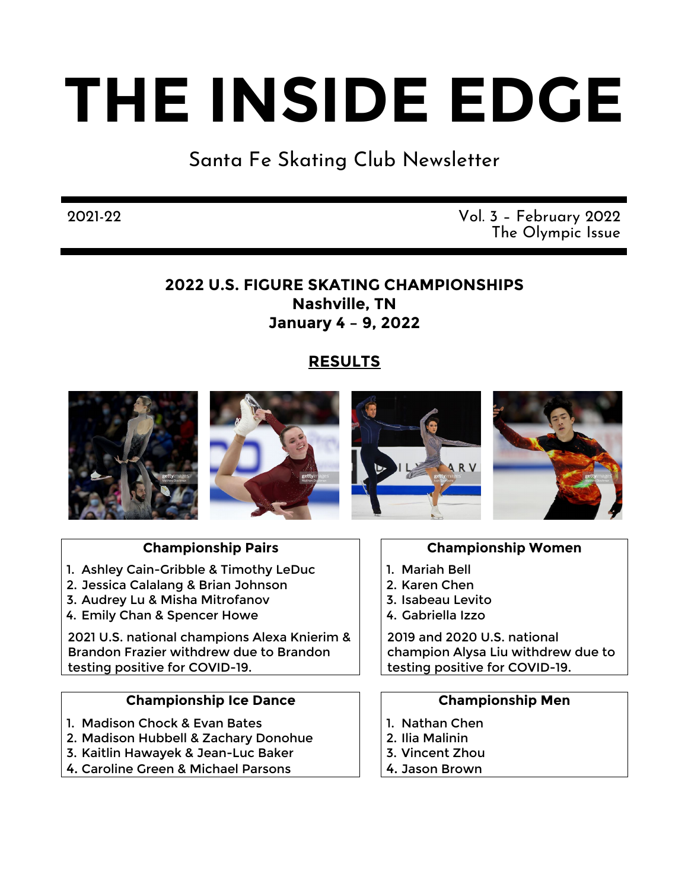# **THE INSIDE EDGE**

## Santa Fe Skating Club Newsletter

#### 2021-22 Vol. 3 – February 2022 The Olympic Issue

#### **2022 U.S. FIGURE SKATING CHAMPIONSHIPS Nashville, TN January 4 – 9, 2022**

### **RESULTS**



#### **Championship Pairs**

- 1. Ashley Cain-Gribble & Timothy LeDuc
- 2. Jessica Calalang & Brian Johnson
- 3. Audrey Lu & Misha Mitrofanov
- 4. Emily Chan & Spencer Howe

2021 U.S. national champions Alexa Knierim & Brandon Frazier withdrew due to Brandon testing positive for COVID-19.

#### **Championship Ice Dance**

- 1. Madison Chock & Evan Bates
- 2. Madison Hubbell & Zachary Donohue
- 3. Kaitlin Hawayek & Jean-Luc Baker
- 4. Caroline Green & Michael Parsons

#### **Championship Women**

- 1. Mariah Bell
- 2. Karen Chen
- 3. Isabeau Levito
- 4. Gabriella Izzo

2019 and 2020 U.S. national champion Alysa Liu withdrew due to testing positive for COVID-19.

#### **Championship Men**

- 1. Nathan Chen
- 2. Ilia Malinin
- 3. Vincent Zhou
- 4. Jason Brown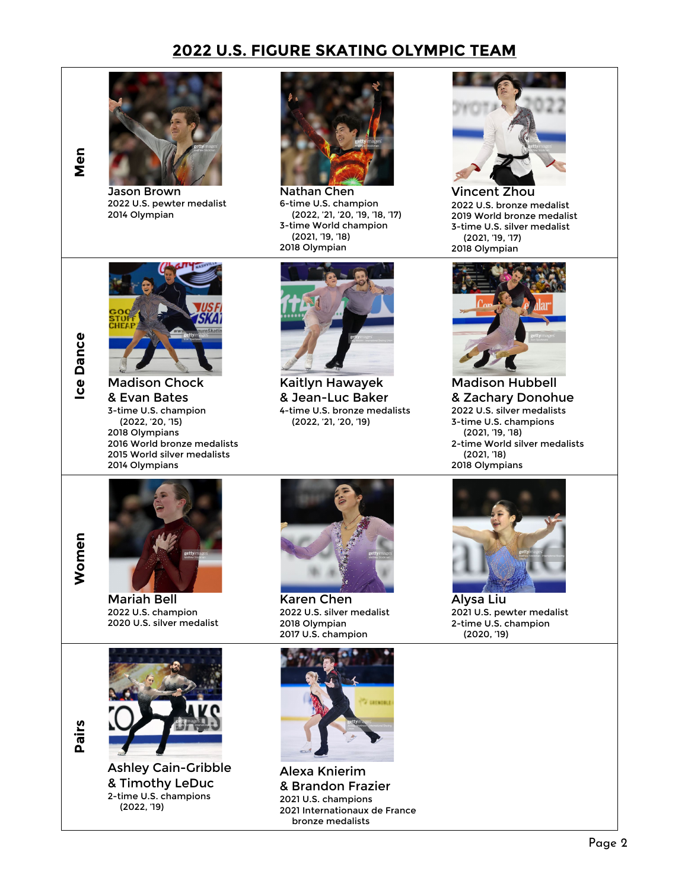#### **2022 U.S. FIGURE SKATING OLYMPIC TEAM**





Jason Brown 2022 U.S. pewter medalist 2014 Olympian



Nathan Chen 6-time U.S. champion (2022, '21, '20, '19, '18, '17) 3-time World champion (2021, '19, '18) 2018 Olympian



Vincent Zhou 2022 U.S. bronze medalist 2019 World bronze medalist 3-time U.S. silver medalist (2021, '19, '17) 2018 Olympian



**Women**

Women

**Pairs**



& Evan Bates 3-time U.S. champion (2022, '20, '15) 2018 Olympians 2016 World bronze medalists 2015 World silver medalists 2014 Olympians



Kaitlyn Hawayek & Jean-Luc Baker 4-time U.S. bronze medalists (2022, '21, '20, '19)



Madison Hubbell & Zachary Donohue 2022 U.S. silver medalists 3-time U.S. champions (2021, '19, '18) 2-time World silver medalists (2021, '18) 2018 Olympians



Mariah Bell 2022 U.S. champion 2020 U.S. silver medalist



Karen Chen 2022 U.S. silver medalist 2018 Olympian 2017 U.S. champion





Alysa Liu 2021 U.S. pewter medalist 2-time U.S. champion (2020, '19)



Ashley Cain-Gribble & Timothy LeDuc 2-time U.S. champions (2022, '19)



Alexa Knierim & Brandon Frazier 2021 U.S. champions 2021 Internationaux de France bronze medalists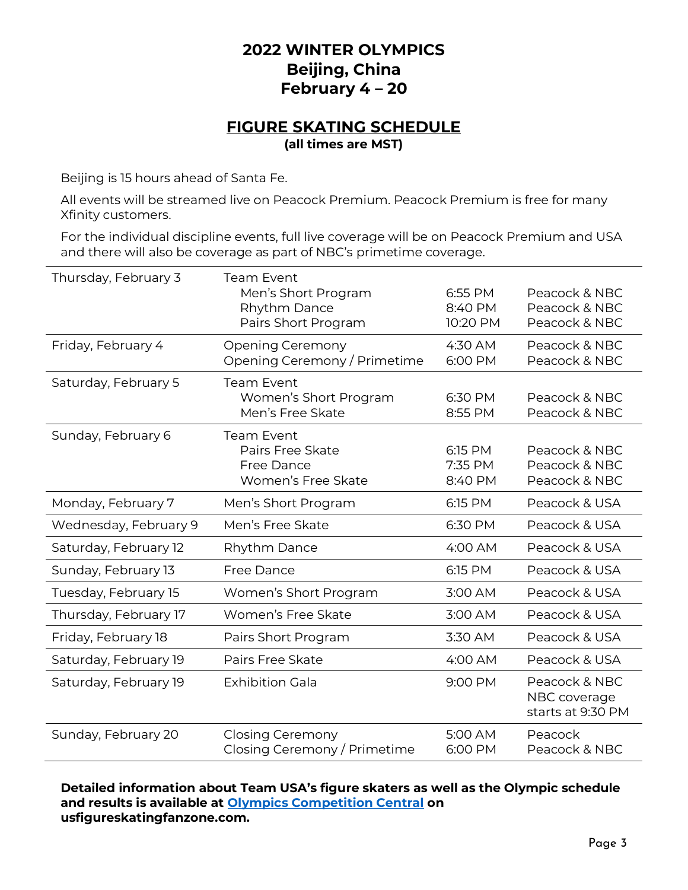#### **2022 WINTER OLYMPICS Beijing, China February 4 ٫ 20**

#### **FIGURE SKATING SCHEDULE (all times are MST)**

Beijing is 15 hours ahead of Santa Fe.

All events will be streamed live on Peacock Premium. Peacock Premium is free for many Xfinity customers.

For the individual discipline events, full live coverage will be on Peacock Premium and USA and there will also be coverage as part of NBC's primetime coverage.

| Thursday, February 3  | <b>Team Event</b><br>Men's Short Program<br>Rhythm Dance<br>Pairs Short Program | 6:55 PM<br>8:40 PM<br>10:20 PM | Peacock & NBC<br>Peacock & NBC<br>Peacock & NBC    |
|-----------------------|---------------------------------------------------------------------------------|--------------------------------|----------------------------------------------------|
| Friday, February 4    | <b>Opening Ceremony</b><br>Opening Ceremony / Primetime                         | 4:30 AM<br>6:00 PM             | Peacock & NBC<br>Peacock & NBC                     |
| Saturday, February 5  | <b>Team Event</b><br>Women's Short Program<br>Men's Free Skate                  | 6:30 PM<br>8:55 PM             | Peacock & NBC<br>Peacock & NBC                     |
| Sunday, February 6    | <b>Team Event</b><br>Pairs Free Skate<br>Free Dance<br>Women's Free Skate       | 6:15 PM<br>7:35 PM<br>8:40 PM  | Peacock & NBC<br>Peacock & NBC<br>Peacock & NBC    |
| Monday, February 7    | Men's Short Program                                                             | 6:15 PM                        | Peacock & USA                                      |
| Wednesday, February 9 | Men's Free Skate                                                                | 6:30 PM                        | Peacock & USA                                      |
| Saturday, February 12 | Rhythm Dance                                                                    | 4:00 AM                        | Peacock & USA                                      |
| Sunday, February 13   | <b>Free Dance</b>                                                               | 6:15 PM                        | Peacock & USA                                      |
| Tuesday, February 15  | Women's Short Program                                                           | 3:00 AM                        | Peacock & USA                                      |
| Thursday, February 17 | Women's Free Skate                                                              | 3:00 AM                        | Peacock & USA                                      |
| Friday, February 18   | Pairs Short Program                                                             | 3:30 AM                        | Peacock & USA                                      |
| Saturday, February 19 | Pairs Free Skate                                                                | 4:00 AM                        | Peacock & USA                                      |
| Saturday, February 19 | <b>Exhibition Gala</b>                                                          | 9:00 PM                        | Peacock & NBC<br>NBC coverage<br>starts at 9:30 PM |
| Sunday, February 20   | <b>Closing Ceremony</b><br>Closing Ceremony / Primetime                         | 5:00 AM<br>6:00 PM             | Peacock<br>Peacock & NBC                           |

Detailed information about Team USA's figure skaters as well as the Olympic schedule **and results is available at [Olympics Competition Central](https://usfigureskatingfanzone.com/feature/2022olympics) on usfigureskatingfanzone.com.**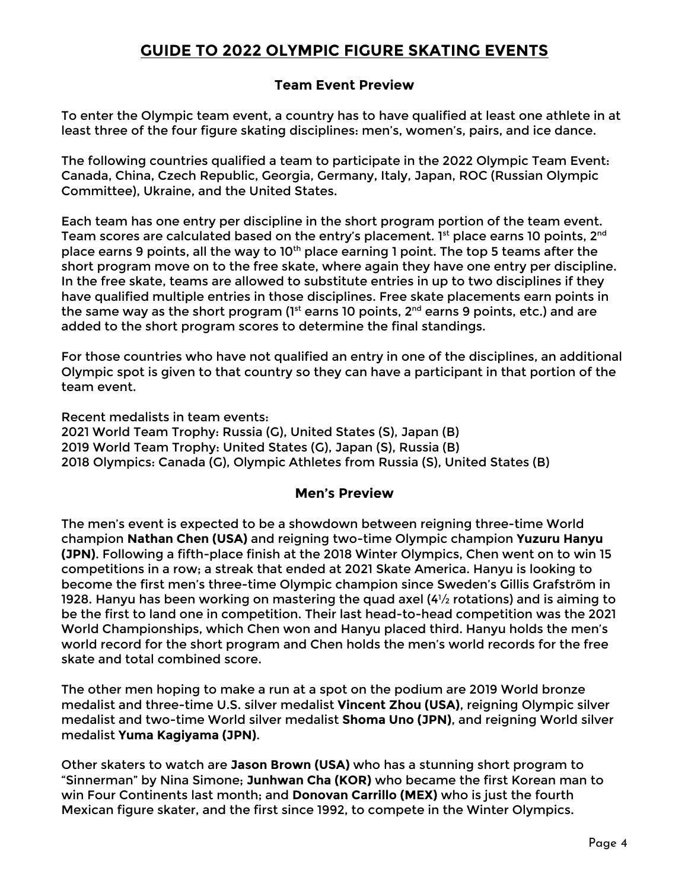#### **GUIDE TO 2022 OLYMPIC FIGURE SKATING EVENTS**

#### **Team Event Preview**

To enter the Olympic team event, a country has to have qualified at least one athlete in at least three of the four figure skating disciplines: men's, women's, pairs, and ice dance.

The following countries qualified a team to participate in the 2022 Olympic Team Event: Canada, China, Czech Republic, Georgia, Germany, Italy, Japan, ROC (Russian Olympic Committee), Ukraine, and the United States.

Each team has one entry per discipline in the short program portion of the team event. Team scores are calculated based on the entry's placement. 1<sup>st</sup> place earns 10 points, 2<sup>nd</sup> place earns 9 points, all the way to 10<sup>th</sup> place earning 1 point. The top 5 teams after the short program move on to the free skate, where again they have one entry per discipline. In the free skate, teams are allowed to substitute entries in up to two disciplines if they have qualified multiple entries in those disciplines. Free skate placements earn points in the same way as the short program ( $1<sup>st</sup>$  earns 10 points,  $2<sup>nd</sup>$  earns 9 points, etc.) and are added to the short program scores to determine the final standings.

For those countries who have not qualified an entry in one of the disciplines, an additional Olympic spot is given to that country so they can have a participant in that portion of the team event.

Recent medalists in team events: 2021 World Team Trophy: Russia (G), United States (S), Japan (B) 2019 World Team Trophy: United States (G), Japan (S), Russia (B) 2018 Olympics: Canada (G), Olympic Athletes from Russia (S), United States (B)

#### **Men's Preview**

The men's event is expected to be a showdown between reigning three-time World champion **Nathan Chen (USA)** and reigning two-time Olympic champion **Yuzuru Hanyu (JPN)**. Following a fifth-place finish at the 2018 Winter Olympics, Chen went on to win 15 competitions in a row; a streak that ended at 2021 Skate America. Hanyu is looking to become the first men's three-time Olympic champion since Sweden's Gillis Grafström in 1928. Hanyu has been working on mastering the quad axel (4½ rotations) and is aiming to be the first to land one in competition. Their last head-to-head competition was the 2021 World Championships, which Chen won and Hanyu placed third. Hanyu holds the men's world record for the short program and Chen holds the men's world records for the free skate and total combined score.

The other men hoping to make a run at a spot on the podium are 2019 World bronze medalist and three-time U.S. silver medalist **Vincent Zhou (USA)**, reigning Olympic silver medalist and two-time World silver medalist **Shoma Uno (JPN)**, and reigning World silver medalist **Yuma Kagiyama (JPN)**.

Other skaters to watch are **Jason Brown (USA)** who has a stunning short program to "Sinnerman" by Nina Simone; **Junhwan Cha (KOR)** who became the first Korean man to win Four Continents last month; and **Donovan Carrillo (MEX)** who is just the fourth Mexican figure skater, and the first since 1992, to compete in the Winter Olympics.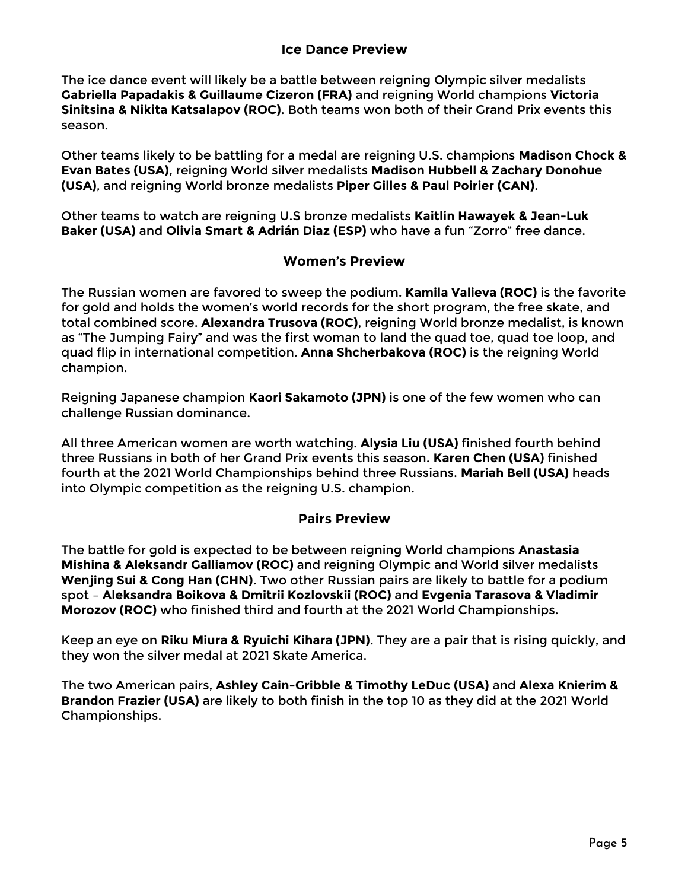#### **Ice Dance Preview**

The ice dance event will likely be a battle between reigning Olympic silver medalists **Gabriella Papadakis & Guillaume Cizeron (FRA)** and reigning World champions **Victoria Sinitsina & Nikita Katsalapov (ROC)**. Both teams won both of their Grand Prix events this season.

Other teams likely to be battling for a medal are reigning U.S. champions **Madison Chock & Evan Bates (USA)**, reigning World silver medalists **Madison Hubbell & Zachary Donohue (USA)**, and reigning World bronze medalists **Piper Gilles & Paul Poirier (CAN)**.

Other teams to watch are reigning U.S bronze medalists **Kaitlin Hawayek & Jean-Luk Baker (USA)** and **Olivia Smart & Adrián Diaz (ESP)** who have a fun "Zorro" free dance.

#### **Women's Preview**

The Russian women are favored to sweep the podium. **Kamila Valieva (ROC)** is the favorite for gold and holds the women's world records for the short program, the free skate, and total combined score. **Alexandra Trusova (ROC)**, reigning World bronze medalist, is known as "The Jumping Fairy" and was the first woman to land the quad toe, quad toe loop, and quad flip in international competition. **Anna Shcherbakova (ROC)** is the reigning World champion.

Reigning Japanese champion **Kaori Sakamoto (JPN)** is one of the few women who can challenge Russian dominance.

All three American women are worth watching. **Alysia Liu (USA)** finished fourth behind three Russians in both of her Grand Prix events this season. **Karen Chen (USA)** finished fourth at the 2021 World Championships behind three Russians. **Mariah Bell (USA)** heads into Olympic competition as the reigning U.S. champion.

#### **Pairs Preview**

The battle for gold is expected to be between reigning World champions **Anastasia Mishina & Aleksandr Galliamov (ROC)** and reigning Olympic and World silver medalists **Wenjing Sui & Cong Han (CHN)**. Two other Russian pairs are likely to battle for a podium spot – **Aleksandra Boikova & Dmitrii Kozlovskii (ROC)** and **Evgenia Tarasova & Vladimir Morozov (ROC)** who finished third and fourth at the 2021 World Championships.

Keep an eye on **Riku Miura & Ryuichi Kihara (JPN)**. They are a pair that is rising quickly, and they won the silver medal at 2021 Skate America.

The two American pairs, **Ashley Cain-Gribble & Timothy LeDuc (USA)** and **Alexa Knierim & Brandon Frazier (USA)** are likely to both finish in the top 10 as they did at the 2021 World Championships.